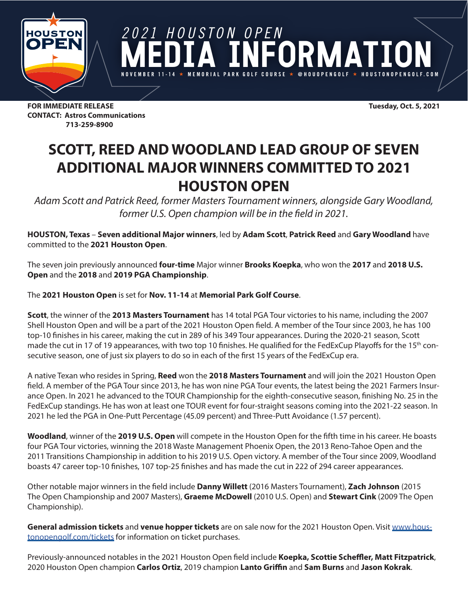

*2021 HOUSTON OPEN* FORMATION **NOVEMBER 11-14 MEMORIAL PARK GOLF COURSE @HOUOPENGOLF HOUSTONOPENGOLF.COM**

**FOR IMMEDIATE RELEASE Tuesday, Oct. 5, 2021 CONTACT: Astros Communications 713-259-8900**

## **SCOTT, REED AND WOODLAND LEAD GROUP OF SEVEN ADDITIONAL MAJOR WINNERS COMMITTED TO 2021 HOUSTON OPEN**

*Adam Scott and Patrick Reed, former Masters Tournament winners, alongside Gary Woodland, former U.S. Open champion will be in the field in 2021.* 

**HOUSTON, Texas** – **Seven additional Major winners**, led by **Adam Scott**, **Patrick Reed** and **Gary Woodland** have committed to the **2021 Houston Open**.

The seven join previously announced **four-time** Major winner **Brooks Koepka**, who won the **2017** and **2018 U.S. Open** and the **2018** and **2019 PGA Championship**.

The **2021 Houston Open** is set for **Nov. 11-14** at **Memorial Park Golf Course**.

**Scott**, the winner of the **2013 Masters Tournament** has 14 total PGA Tour victories to his name, including the 2007 Shell Houston Open and will be a part of the 2021 Houston Open field. A member of the Tour since 2003, he has 100 top-10 finishes in his career, making the cut in 289 of his 349 Tour appearances. During the 2020-21 season, Scott made the cut in 17 of 19 appearances, with two top 10 finishes. He qualified for the FedExCup Playoffs for the 15<sup>th</sup> consecutive season, one of just six players to do so in each of the first 15 years of the FedExCup era.

A native Texan who resides in Spring, **Reed** won the **2018 Masters Tournament** and will join the 2021 Houston Open field. A member of the PGA Tour since 2013, he has won nine PGA Tour events, the latest being the 2021 Farmers Insurance Open. In 2021 he advanced to the TOUR Championship for the eighth-consecutive season, finishing No. 25 in the FedExCup standings. He has won at least one TOUR event for four-straight seasons coming into the 2021-22 season. In 2021 he led the PGA in One-Putt Percentage (45.09 percent) and Three-Putt Avoidance (1.57 percent).

**Woodland**, winner of the **2019 U.S. Open** will compete in the Houston Open for the fifth time in his career. He boasts four PGA Tour victories, winning the 2018 Waste Management Phoenix Open, the 2013 Reno-Tahoe Open and the 2011 Transitions Championship in addition to his 2019 U.S. Open victory. A member of the Tour since 2009, Woodland boasts 47 career top-10 finishes, 107 top-25 finishes and has made the cut in 222 of 294 career appearances.

Other notable major winners in the field include **Danny Willett** (2016 Masters Tournament), **Zach Johnson** (2015 The Open Championship and 2007 Masters), **Graeme McDowell** (2010 U.S. Open) and **Stewart Cink** (2009 The Open Championship).

**General admission tickets** and **venue hopper tickets** are on sale now for the 2021 Houston Open. Visit [www.hous](http://www.houstonopengolf.com/tickets)[tonopengolf.com/tickets](http://www.houstonopengolf.com/tickets) for information on ticket purchases.

Previously-announced notables in the 2021 Houston Open field include **Koepka, Scottie Scheffler, Matt Fitzpatrick**, 2020 Houston Open champion **Carlos Ortiz**, 2019 champion **Lanto Griffin** and **Sam Burns** and **Jason Kokrak**.